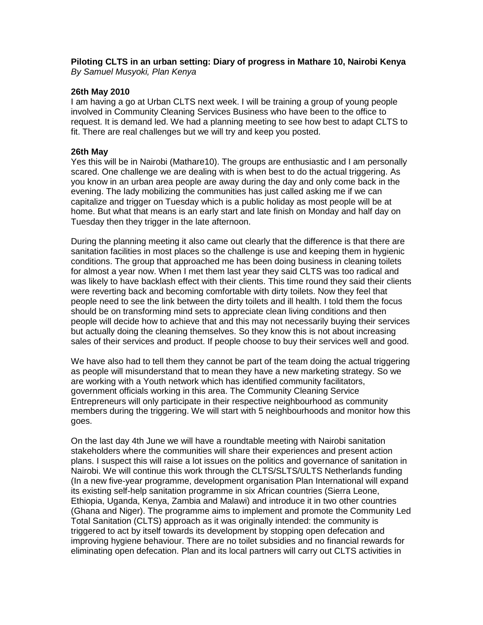**Piloting CLTS in an urban setting: Diary of progress in Mathare 10, Nairobi Kenya** *By Samuel Musyoki, Plan Kenya*

## **26th May 2010**

I am having a go at Urban CLTS next week. I will be training a group of young people involved in Community Cleaning Services Business who have been to the office to request. It is demand led. We had a planning meeting to see how best to adapt CLTS to fit. There are real challenges but we will try and keep you posted.

## **26th May**

Yes this will be in Nairobi (Mathare10). The groups are enthusiastic and I am personally scared. One challenge we are dealing with is when best to do the actual triggering. As you know in an urban area people are away during the day and only come back in the evening. The lady mobilizing the communities has just called asking me if we can capitalize and trigger on Tuesday which is a public holiday as most people will be at home. But what that means is an early start and late finish on Monday and half day on Tuesday then they trigger in the late afternoon.

During the planning meeting it also came out clearly that the difference is that there are sanitation facilities in most places so the challenge is use and keeping them in hygienic conditions. The group that approached me has been doing business in cleaning toilets for almost a year now. When I met them last year they said CLTS was too radical and was likely to have backlash effect with their clients. This time round they said their clients were reverting back and becoming comfortable with dirty toilets. Now they feel that people need to see the link between the dirty toilets and ill health. I told them the focus should be on transforming mind sets to appreciate clean living conditions and then people will decide how to achieve that and this may not necessarily buying their services but actually doing the cleaning themselves. So they know this is not about increasing sales of their services and product. If people choose to buy their services well and good.

We have also had to tell them they cannot be part of the team doing the actual triggering as people will misunderstand that to mean they have a new marketing strategy. So we are working with a Youth network which has identified community facilitators, government officials working in this area. The Community Cleaning Service Entrepreneurs will only participate in their respective neighbourhood as community members during the triggering. We will start with 5 neighbourhoods and monitor how this goes.

On the last day 4th June we will have a roundtable meeting with Nairobi sanitation stakeholders where the communities will share their experiences and present action plans. I suspect this will raise a lot issues on the politics and governance of sanitation in Nairobi. We will continue this work through the CLTS/SLTS/ULTS Netherlands funding (In a new five-year programme, development organisation Plan International will expand its existing self-help sanitation programme in six African countries (Sierra Leone, Ethiopia, Uganda, Kenya, Zambia and Malawi) and introduce it in two other countries (Ghana and Niger). The programme aims to implement and promote the Community Led Total Sanitation (CLTS) approach as it was originally intended: the community is triggered to act by itself towards its development by stopping open defecation and improving hygiene behaviour. There are no toilet subsidies and no financial rewards for eliminating open defecation. Plan and its local partners will carry out CLTS activities in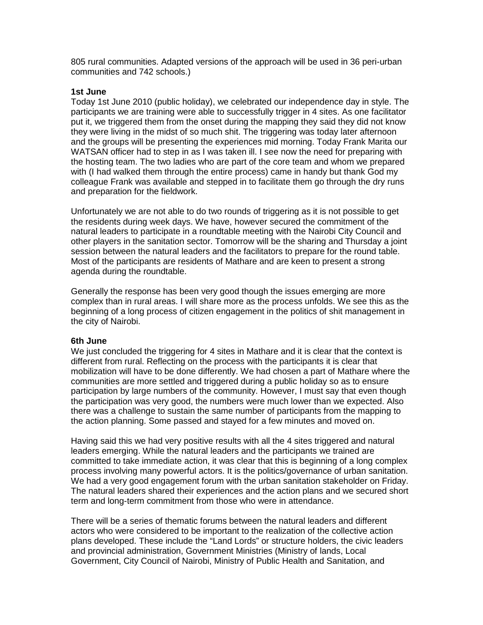805 rural communities. Adapted versions of the approach will be used in 36 peri-urban communities and 742 schools.)

## **1st June**

Today 1st June 2010 (public holiday), we celebrated our independence day in style. The participants we are training were able to successfully trigger in 4 sites. As one facilitator put it, we triggered them from the onset during the mapping they said they did not know they were living in the midst of so much shit. The triggering was today later afternoon and the groups will be presenting the experiences mid morning. Today Frank Marita our WATSAN officer had to step in as I was taken ill. I see now the need for preparing with the hosting team. The two ladies who are part of the core team and whom we prepared with (I had walked them through the entire process) came in handy but thank God my colleague Frank was available and stepped in to facilitate them go through the dry runs and preparation for the fieldwork.

Unfortunately we are not able to do two rounds of triggering as it is not possible to get the residents during week days. We have, however secured the commitment of the natural leaders to participate in a roundtable meeting with the Nairobi City Council and other players in the sanitation sector. Tomorrow will be the sharing and Thursday a joint session between the natural leaders and the facilitators to prepare for the round table. Most of the participants are residents of Mathare and are keen to present a strong agenda during the roundtable.

Generally the response has been very good though the issues emerging are more complex than in rural areas. I will share more as the process unfolds. We see this as the beginning of a long process of citizen engagement in the politics of shit management in the city of Nairobi.

#### **6th June**

We just concluded the triggering for 4 sites in Mathare and it is clear that the context is different from rural. Reflecting on the process with the participants it is clear that mobilization will have to be done differently. We had chosen a part of Mathare where the communities are more settled and triggered during a public holiday so as to ensure participation by large numbers of the community. However, I must say that even though the participation was very good, the numbers were much lower than we expected. Also there was a challenge to sustain the same number of participants from the mapping to the action planning. Some passed and stayed for a few minutes and moved on.

Having said this we had very positive results with all the 4 sites triggered and natural leaders emerging. While the natural leaders and the participants we trained are committed to take immediate action, it was clear that this is beginning of a long complex process involving many powerful actors. It is the politics/governance of urban sanitation. We had a very good engagement forum with the urban sanitation stakeholder on Friday. The natural leaders shared their experiences and the action plans and we secured short term and long-term commitment from those who were in attendance.

There will be a series of thematic forums between the natural leaders and different actors who were considered to be important to the realization of the collective action plans developed. These include the "Land Lords" or structure holders, the civic leaders and provincial administration, Government Ministries (Ministry of lands, Local Government, City Council of Nairobi, Ministry of Public Health and Sanitation, and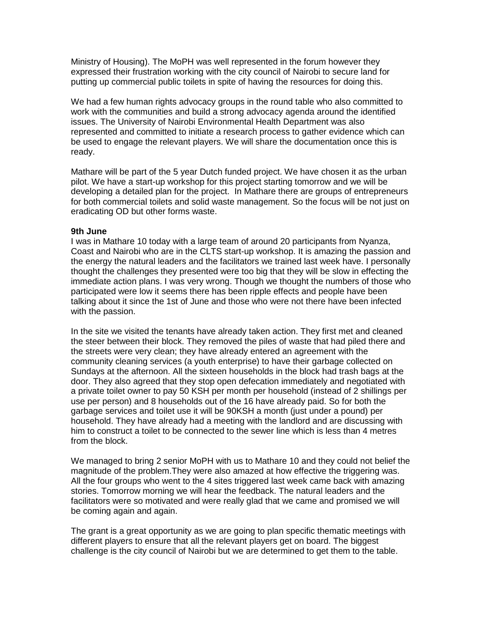Ministry of Housing). The MoPH was well represented in the forum however they expressed their frustration working with the city council of Nairobi to secure land for putting up commercial public toilets in spite of having the resources for doing this.

We had a few human rights advocacy groups in the round table who also committed to work with the communities and build a strong advocacy agenda around the identified issues. The University of Nairobi Environmental Health Department was also represented and committed to initiate a research process to gather evidence which can be used to engage the relevant players. We will share the documentation once this is ready.

Mathare will be part of the 5 year Dutch funded project. We have chosen it as the urban pilot. We have a start-up workshop for this project starting tomorrow and we will be developing a detailed plan for the project. In Mathare there are groups of entrepreneurs for both commercial toilets and solid waste management. So the focus will be not just on eradicating OD but other forms waste.

#### **9th June**

I was in Mathare 10 today with a large team of around 20 participants from Nyanza, Coast and Nairobi who are in the CLTS start-up workshop. It is amazing the passion and the energy the natural leaders and the facilitators we trained last week have. I personally thought the challenges they presented were too big that they will be slow in effecting the immediate action plans. I was very wrong. Though we thought the numbers of those who participated were low it seems there has been ripple effects and people have been talking about it since the 1st of June and those who were not there have been infected with the passion.

In the site we visited the tenants have already taken action. They first met and cleaned the steer between their block. They removed the piles of waste that had piled there and the streets were very clean; they have already entered an agreement with the community cleaning services (a youth enterprise) to have their garbage collected on Sundays at the afternoon. All the sixteen households in the block had trash bags at the door. They also agreed that they stop open defecation immediately and negotiated with a private toilet owner to pay 50 KSH per month per household (instead of 2 shillings per use per person) and 8 households out of the 16 have already paid. So for both the garbage services and toilet use it will be 90KSH a month (just under a pound) per household. They have already had a meeting with the landlord and are discussing with him to construct a toilet to be connected to the sewer line which is less than 4 metres from the block.

We managed to bring 2 senior MoPH with us to Mathare 10 and they could not belief the magnitude of the problem.They were also amazed at how effective the triggering was. All the four groups who went to the 4 sites triggered last week came back with amazing stories. Tomorrow morning we will hear the feedback. The natural leaders and the facilitators were so motivated and were really glad that we came and promised we will be coming again and again.

The grant is a great opportunity as we are going to plan specific thematic meetings with different players to ensure that all the relevant players get on board. The biggest challenge is the city council of Nairobi but we are determined to get them to the table.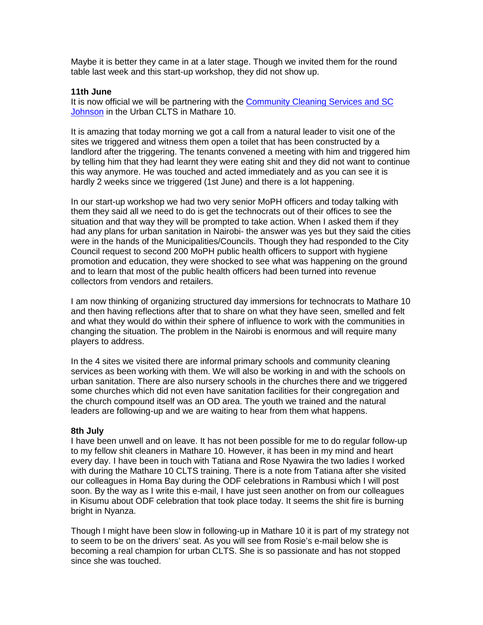Maybe it is better they came in at a later stage. Though we invited them for the round table last week and this start-up workshop, they did not show up.

### **11th June**

It is now official we will be partnering with the [Community Cleaning Services and SC](http://www.communityledtotalsanitation.org/sites/communityledtotalsanitation.org/files/SCJ_CCS.pdf)  [Johnson](http://www.communityledtotalsanitation.org/sites/communityledtotalsanitation.org/files/SCJ_CCS.pdf) in the Urban CLTS in Mathare 10.

It is amazing that today morning we got a call from a natural leader to visit one of the sites we triggered and witness them open a toilet that has been constructed by a landlord after the triggering. The tenants convened a meeting with him and triggered him by telling him that they had learnt they were eating shit and they did not want to continue this way anymore. He was touched and acted immediately and as you can see it is hardly 2 weeks since we triggered (1st June) and there is a lot happening.

In our start-up workshop we had two very senior MoPH officers and today talking with them they said all we need to do is get the technocrats out of their offices to see the situation and that way they will be prompted to take action. When I asked them if they had any plans for urban sanitation in Nairobi- the answer was yes but they said the cities were in the hands of the Municipalities/Councils. Though they had responded to the City Council request to second 200 MoPH public health officers to support with hygiene promotion and education, they were shocked to see what was happening on the ground and to learn that most of the public health officers had been turned into revenue collectors from vendors and retailers.

I am now thinking of organizing structured day immersions for technocrats to Mathare 10 and then having reflections after that to share on what they have seen, smelled and felt and what they would do within their sphere of influence to work with the communities in changing the situation. The problem in the Nairobi is enormous and will require many players to address.

In the 4 sites we visited there are informal primary schools and community cleaning services as been working with them. We will also be working in and with the schools on urban sanitation. There are also nursery schools in the churches there and we triggered some churches which did not even have sanitation facilities for their congregation and the church compound itself was an OD area. The youth we trained and the natural leaders are following-up and we are waiting to hear from them what happens.

### **8th July**

I have been unwell and on leave. It has not been possible for me to do regular follow-up to my fellow shit cleaners in Mathare 10. However, it has been in my mind and heart every day. I have been in touch with Tatiana and Rose Nyawira the two ladies I worked with during the Mathare 10 CLTS training. There is a note from Tatiana after she visited our colleagues in Homa Bay during the ODF celebrations in Rambusi which I will post soon. By the way as I write this e-mail, I have just seen another on from our colleagues in Kisumu about ODF celebration that took place today. It seems the shit fire is burning bright in Nyanza.

Though I might have been slow in following-up in Mathare 10 it is part of my strategy not to seem to be on the drivers' seat. As you will see from Rosie's e-mail below she is becoming a real champion for urban CLTS. She is so passionate and has not stopped since she was touched.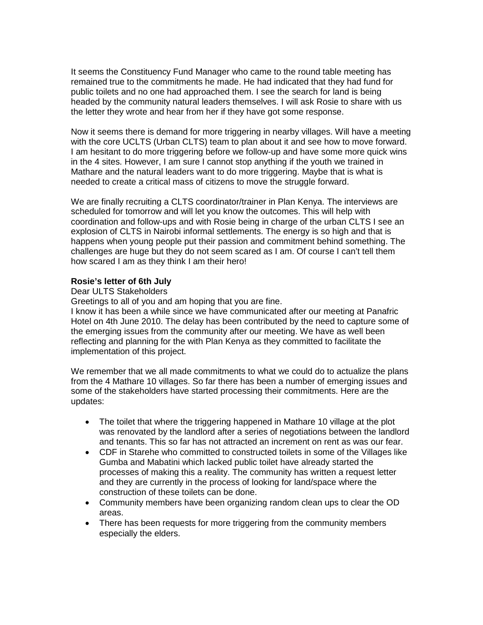It seems the Constituency Fund Manager who came to the round table meeting has remained true to the commitments he made. He had indicated that they had fund for public toilets and no one had approached them. I see the search for land is being headed by the community natural leaders themselves. I will ask Rosie to share with us the letter they wrote and hear from her if they have got some response.

Now it seems there is demand for more triggering in nearby villages. Will have a meeting with the core UCLTS (Urban CLTS) team to plan about it and see how to move forward. I am hesitant to do more triggering before we follow-up and have some more quick wins in the 4 sites. However, I am sure I cannot stop anything if the youth we trained in Mathare and the natural leaders want to do more triggering. Maybe that is what is needed to create a critical mass of citizens to move the struggle forward.

We are finally recruiting a CLTS coordinator/trainer in Plan Kenya. The interviews are scheduled for tomorrow and will let you know the outcomes. This will help with coordination and follow-ups and with Rosie being in charge of the urban CLTS I see an explosion of CLTS in Nairobi informal settlements. The energy is so high and that is happens when young people put their passion and commitment behind something. The challenges are huge but they do not seem scared as I am. Of course I can't tell them how scared I am as they think I am their hero!

## **Rosie's letter of 6th July**

### Dear ULTS Stakeholders

Greetings to all of you and am hoping that you are fine.

I know it has been a while since we have communicated after our meeting at Panafric Hotel on 4th June 2010. The delay has been contributed by the need to capture some of the emerging issues from the community after our meeting. We have as well been reflecting and planning for the with Plan Kenya as they committed to facilitate the implementation of this project.

We remember that we all made commitments to what we could do to actualize the plans from the 4 Mathare 10 villages. So far there has been a number of emerging issues and some of the stakeholders have started processing their commitments. Here are the updates:

- The toilet that where the triggering happened in Mathare 10 village at the plot was renovated by the landlord after a series of negotiations between the landlord and tenants. This so far has not attracted an increment on rent as was our fear.
- CDF in Starehe who committed to constructed toilets in some of the Villages like Gumba and Mabatini which lacked public toilet have already started the processes of making this a reality. The community has written a request letter and they are currently in the process of looking for land/space where the construction of these toilets can be done.
- Community members have been organizing random clean ups to clear the OD areas.
- There has been requests for more triggering from the community members especially the elders.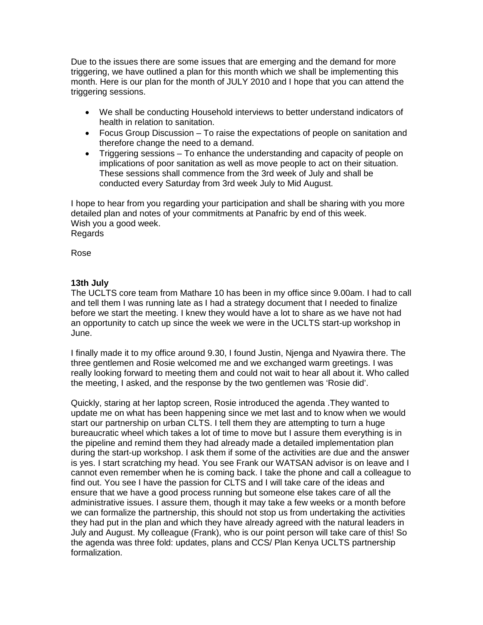Due to the issues there are some issues that are emerging and the demand for more triggering, we have outlined a plan for this month which we shall be implementing this month. Here is our plan for the month of JULY 2010 and I hope that you can attend the triggering sessions.

- We shall be conducting Household interviews to better understand indicators of health in relation to sanitation.
- Focus Group Discussion To raise the expectations of people on sanitation and therefore change the need to a demand.
- Triggering sessions To enhance the understanding and capacity of people on implications of poor sanitation as well as move people to act on their situation. These sessions shall commence from the 3rd week of July and shall be conducted every Saturday from 3rd week July to Mid August.

I hope to hear from you regarding your participation and shall be sharing with you more detailed plan and notes of your commitments at Panafric by end of this week. Wish you a good week. Regards

Rose

# **13th July**

The UCLTS core team from Mathare 10 has been in my office since 9.00am. I had to call and tell them I was running late as I had a strategy document that I needed to finalize before we start the meeting. I knew they would have a lot to share as we have not had an opportunity to catch up since the week we were in the UCLTS start-up workshop in June.

I finally made it to my office around 9.30, I found Justin, Njenga and Nyawira there. The three gentlemen and Rosie welcomed me and we exchanged warm greetings. I was really looking forward to meeting them and could not wait to hear all about it. Who called the meeting, I asked, and the response by the two gentlemen was 'Rosie did'.

Quickly, staring at her laptop screen, Rosie introduced the agenda .They wanted to update me on what has been happening since we met last and to know when we would start our partnership on urban CLTS. I tell them they are attempting to turn a huge bureaucratic wheel which takes a lot of time to move but I assure them everything is in the pipeline and remind them they had already made a detailed implementation plan during the start-up workshop. I ask them if some of the activities are due and the answer is yes. I start scratching my head. You see Frank our WATSAN advisor is on leave and I cannot even remember when he is coming back. I take the phone and call a colleague to find out. You see I have the passion for CLTS and I will take care of the ideas and ensure that we have a good process running but someone else takes care of all the administrative issues. I assure them, though it may take a few weeks or a month before we can formalize the partnership, this should not stop us from undertaking the activities they had put in the plan and which they have already agreed with the natural leaders in July and August. My colleague (Frank), who is our point person will take care of this! So the agenda was three fold: updates, plans and CCS/ Plan Kenya UCLTS partnership formalization.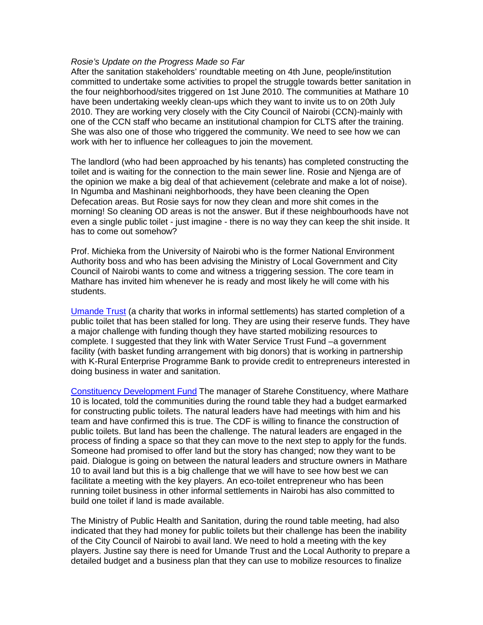#### *Rosie's Update on the Progress Made so Far*

After the sanitation stakeholders' roundtable meeting on 4th June, people/institution committed to undertake some activities to propel the struggle towards better sanitation in the four neighborhood/sites triggered on 1st June 2010. The communities at Mathare 10 have been undertaking weekly clean-ups which they want to invite us to on 20th July 2010. They are working very closely with the City Council of Nairobi (CCN)-mainly with one of the CCN staff who became an institutional champion for CLTS after the training. She was also one of those who triggered the community. We need to see how we can work with her to influence her colleagues to join the movement.

The landlord (who had been approached by his tenants) has completed constructing the toilet and is waiting for the connection to the main sewer line. Rosie and Njenga are of the opinion we make a big deal of that achievement (celebrate and make a lot of noise). In Ngumba and Mashinani neighborhoods, they have been cleaning the Open Defecation areas. But Rosie says for now they clean and more shit comes in the morning! So cleaning OD areas is not the answer. But if these neighbourhoods have not even a single public toilet - just imagine - there is no way they can keep the shit inside. It has to come out somehow?

Prof. Michieka from the University of Nairobi who is the former National Environment Authority boss and who has been advising the Ministry of Local Government and City Council of Nairobi wants to come and witness a triggering session. The core team in Mathare has invited him whenever he is ready and most likely he will come with his students.

[Umande Trust](http://www.umande.org/about.html) (a charity that works in informal settlements) has started completion of a public toilet that has been stalled for long. They are using their reserve funds. They have a major challenge with funding though they have started mobilizing resources to complete. I suggested that they link with Water Service Trust Fund –a government facility (with basket funding arrangement with big donors) that is working in partnership with K-Rural Enterprise Programme Bank to provide credit to entrepreneurs interested in doing business in water and sanitation.

[Constituency Development Fund](http://www.kippra.org/Constituency.asp) The manager of Starehe Constituency, where Mathare 10 is located, told the communities during the round table they had a budget earmarked for constructing public toilets. The natural leaders have had meetings with him and his team and have confirmed this is true. The CDF is willing to finance the construction of public toilets. But land has been the challenge. The natural leaders are engaged in the process of finding a space so that they can move to the next step to apply for the funds. Someone had promised to offer land but the story has changed; now they want to be paid. Dialogue is going on between the natural leaders and structure owners in Mathare 10 to avail land but this is a big challenge that we will have to see how best we can facilitate a meeting with the key players. An eco-toilet entrepreneur who has been running toilet business in other informal settlements in Nairobi has also committed to build one toilet if land is made available.

The Ministry of Public Health and Sanitation, during the round table meeting, had also indicated that they had money for public toilets but their challenge has been the inability of the City Council of Nairobi to avail land. We need to hold a meeting with the key players. Justine say there is need for Umande Trust and the Local Authority to prepare a detailed budget and a business plan that they can use to mobilize resources to finalize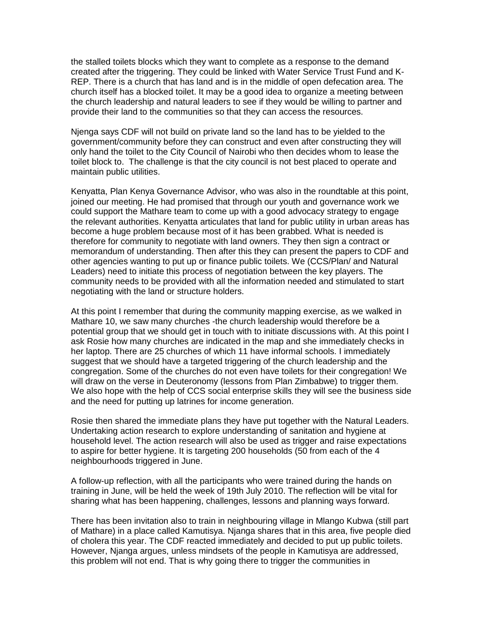the stalled toilets blocks which they want to complete as a response to the demand created after the triggering. They could be linked with Water Service Trust Fund and K-REP. There is a church that has land and is in the middle of open defecation area. The church itself has a blocked toilet. It may be a good idea to organize a meeting between the church leadership and natural leaders to see if they would be willing to partner and provide their land to the communities so that they can access the resources.

Njenga says CDF will not build on private land so the land has to be yielded to the government/community before they can construct and even after constructing they will only hand the toilet to the City Council of Nairobi who then decides whom to lease the toilet block to. The challenge is that the city council is not best placed to operate and maintain public utilities.

Kenyatta, Plan Kenya Governance Advisor, who was also in the roundtable at this point, joined our meeting. He had promised that through our youth and governance work we could support the Mathare team to come up with a good advocacy strategy to engage the relevant authorities. Kenyatta articulates that land for public utility in urban areas has become a huge problem because most of it has been grabbed. What is needed is therefore for community to negotiate with land owners. They then sign a contract or memorandum of understanding. Then after this they can present the papers to CDF and other agencies wanting to put up or finance public toilets. We (CCS/Plan/ and Natural Leaders) need to initiate this process of negotiation between the key players. The community needs to be provided with all the information needed and stimulated to start negotiating with the land or structure holders.

At this point I remember that during the community mapping exercise, as we walked in Mathare 10, we saw many churches -the church leadership would therefore be a potential group that we should get in touch with to initiate discussions with. At this point I ask Rosie how many churches are indicated in the map and she immediately checks in her laptop. There are 25 churches of which 11 have informal schools. I immediately suggest that we should have a targeted triggering of the church leadership and the congregation. Some of the churches do not even have toilets for their congregation! We will draw on the verse in Deuteronomy (lessons from Plan Zimbabwe) to trigger them. We also hope with the help of CCS social enterprise skills they will see the business side and the need for putting up latrines for income generation.

Rosie then shared the immediate plans they have put together with the Natural Leaders. Undertaking action research to explore understanding of sanitation and hygiene at household level. The action research will also be used as trigger and raise expectations to aspire for better hygiene. It is targeting 200 households (50 from each of the 4 neighbourhoods triggered in June.

A follow-up reflection, with all the participants who were trained during the hands on training in June, will be held the week of 19th July 2010. The reflection will be vital for sharing what has been happening, challenges, lessons and planning ways forward.

There has been invitation also to train in neighbouring village in Mlango Kubwa (still part of Mathare) in a place called Kamutisya. Njanga shares that in this area, five people died of cholera this year. The CDF reacted immediately and decided to put up public toilets. However, Njanga argues, unless mindsets of the people in Kamutisya are addressed, this problem will not end. That is why going there to trigger the communities in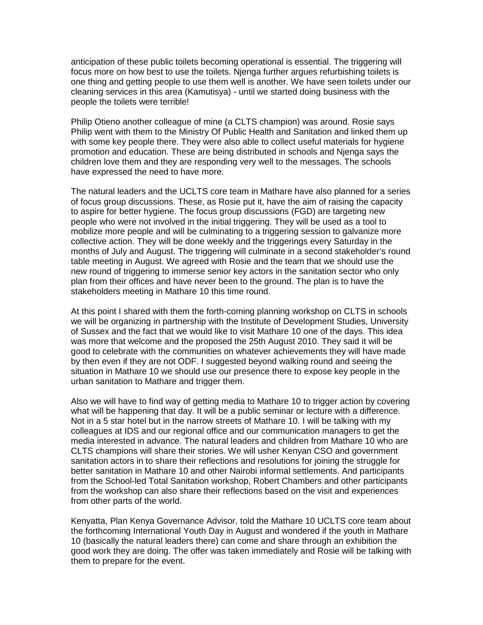anticipation of these public toilets becoming operational is essential. The triggering will focus more on how best to use the toilets. Njenga further argues refurbishing toilets is one thing and getting people to use them well is another. We have seen toilets under our cleaning services in this area (Kamutisya) - until we started doing business with the people the toilets were terrible!

Philip Otieno another colleague of mine (a CLTS champion) was around. Rosie says Philip went with them to the Ministry Of Public Health and Sanitation and linked them up with some key people there. They were also able to collect useful materials for hygiene promotion and education. These are being distributed in schools and Njenga says the children love them and they are responding very well to the messages. The schools have expressed the need to have more.

The natural leaders and the UCLTS core team in Mathare have also planned for a series of focus group discussions. These, as Rosie put it, have the aim of raising the capacity to aspire for better hygiene. The focus group discussions (FGD) are targeting new people who were not involved in the initial triggering. They will be used as a tool to mobilize more people and will be culminating to a triggering session to galvanize more collective action. They will be done weekly and the triggerings every Saturday in the months of July and August. The triggering will culminate in a second stakeholder's round table meeting in August. We agreed with Rosie and the team that we should use the new round of triggering to immerse senior key actors in the sanitation sector who only plan from their offices and have never been to the ground. The plan is to have the stakeholders meeting in Mathare 10 this time round.

At this point I shared with them the forth-coming planning workshop on CLTS in schools we will be organizing in partnership with the Institute of Development Studies, University of Sussex and the fact that we would like to visit Mathare 10 one of the days. This idea was more that welcome and the proposed the 25th August 2010. They said it will be good to celebrate with the communities on whatever achievements they will have made by then even if they are not ODF. I suggested beyond walking round and seeing the situation in Mathare 10 we should use our presence there to expose key people in the urban sanitation to Mathare and trigger them.

Also we will have to find way of getting media to Mathare 10 to trigger action by covering what will be happening that day. It will be a public seminar or lecture with a difference. Not in a 5 star hotel but in the narrow streets of Mathare 10. I will be talking with my colleagues at IDS and our regional office and our communication managers to get the media interested in advance. The natural leaders and children from Mathare 10 who are CLTS champions will share their stories. We will usher Kenyan CSO and government sanitation actors in to share their reflections and resolutions for joining the struggle for better sanitation in Mathare 10 and other Nairobi informal settlements. And participants from the School-led Total Sanitation workshop, Robert Chambers and other participants from the workshop can also share their reflections based on the visit and experiences from other parts of the world.

Kenyatta, Plan Kenya Governance Advisor, told the Mathare 10 UCLTS core team about the forthcoming International Youth Day in August and wondered if the youth in Mathare 10 (basically the natural leaders there) can come and share through an exhibition the good work they are doing. The offer was taken immediately and Rosie will be talking with them to prepare for the event.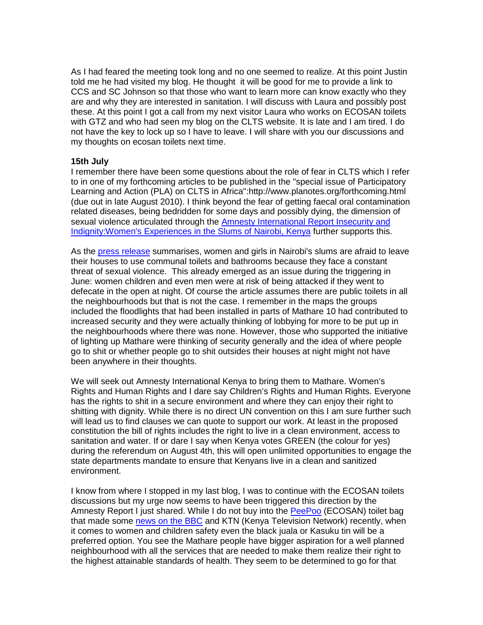As I had feared the meeting took long and no one seemed to realize. At this point Justin told me he had visited my blog. He thought it will be good for me to provide a link to CCS and SC Johnson so that those who want to learn more can know exactly who they are and why they are interested in sanitation. I will discuss with Laura and possibly post these. At this point I got a call from my next visitor Laura who works on ECOSAN toilets with GTZ and who had seen my blog on the CLTS website. It is late and I am tired. I do not have the key to lock up so I have to leave. I will share with you our discussions and my thoughts on ecosan toilets next time.

### **15th July**

I remember there have been some questions about the role of fear in CLTS which I refer to in one of my forthcoming articles to be published in the "special issue of Participatory Learning and Action (PLA) on CLTS in Africa":http://www.planotes.org/forthcoming.html (due out in late August 2010). I think beyond the fear of getting faecal oral contamination related diseases, being bedridden for some days and possibly dying, the dimension of sexual violence articulated through the Amnesty International Report Insecurity and [Indignity:Women's Experiences in the Slums of Nairobi, Kenya](http://www.amnesty.org/en/library/asset/AFR32/002/2010/en/12a9d334-0b62-40e1-ae4a-e5333752d68c/afr320022010en.pdf) further supports this.

As the [press release](http://www.amnesty.org/en/news-and-updates/report/kenya-fear-attack-leaves-women-prisoners-their-homes-2010-07-07) summarises, women and girls in Nairobi's slums are afraid to leave their houses to use communal toilets and bathrooms because they face a constant threat of sexual violence. This already emerged as an issue during the triggering in June: women children and even men were at risk of being attacked if they went to defecate in the open at night. Of course the article assumes there are public toilets in all the neighbourhoods but that is not the case. I remember in the maps the groups included the floodlights that had been installed in parts of Mathare 10 had contributed to increased security and they were actually thinking of lobbying for more to be put up in the neighbourhoods where there was none. However, those who supported the initiative of lighting up Mathare were thinking of security generally and the idea of where people go to shit or whether people go to shit outsides their houses at night might not have been anywhere in their thoughts.

We will seek out Amnesty International Kenya to bring them to Mathare. Women's Rights and Human Rights and I dare say Children's Rights and Human Rights. Everyone has the rights to shit in a secure environment and where they can enjoy their right to shitting with dignity. While there is no direct UN convention on this I am sure further such will lead us to find clauses we can quote to support our work. At least in the proposed constitution the bill of rights includes the right to live in a clean environment, access to sanitation and water. If or dare I say when Kenya votes GREEN (the colour for yes) during the referendum on August 4th, this will open unlimited opportunities to engage the state departments mandate to ensure that Kenyans live in a clean and sanitized environment.

I know from where I stopped in my last blog, I was to continue with the ECOSAN toilets discussions but my urge now seems to have been triggered this direction by the Amnesty Report I just shared. While I do not buy into the [PeePoo](http://www.peepoople.com/) (ECOSAN) toilet bag that made some [news on the BBC](http://news.bbc.co.uk/1/hi/8594972.stm) and KTN (Kenya Television Network) recently, when it comes to women and children safety even the black juala or Kasuku tin will be a preferred option. You see the Mathare people have bigger aspiration for a well planned neighbourhood with all the services that are needed to make them realize their right to the highest attainable standards of health. They seem to be determined to go for that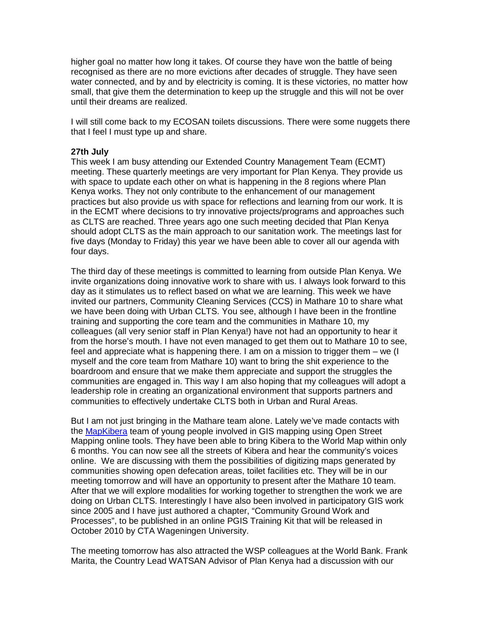higher goal no matter how long it takes. Of course they have won the battle of being recognised as there are no more evictions after decades of struggle. They have seen water connected, and by and by electricity is coming. It is these victories, no matter how small, that give them the determination to keep up the struggle and this will not be over until their dreams are realized.

I will still come back to my ECOSAN toilets discussions. There were some nuggets there that I feel I must type up and share.

#### **27th July**

This week I am busy attending our Extended Country Management Team (ECMT) meeting. These quarterly meetings are very important for Plan Kenya. They provide us with space to update each other on what is happening in the 8 regions where Plan Kenya works. They not only contribute to the enhancement of our management practices but also provide us with space for reflections and learning from our work. It is in the ECMT where decisions to try innovative projects/programs and approaches such as CLTS are reached. Three years ago one such meeting decided that Plan Kenya should adopt CLTS as the main approach to our sanitation work. The meetings last for five days (Monday to Friday) this year we have been able to cover all our agenda with four days.

The third day of these meetings is committed to learning from outside Plan Kenya. We invite organizations doing innovative work to share with us. I always look forward to this day as it stimulates us to reflect based on what we are learning. This week we have invited our partners, Community Cleaning Services (CCS) in Mathare 10 to share what we have been doing with Urban CLTS. You see, although I have been in the frontline training and supporting the core team and the communities in Mathare 10, my colleagues (all very senior staff in Plan Kenya!) have not had an opportunity to hear it from the horse's mouth. I have not even managed to get them out to Mathare 10 to see, feel and appreciate what is happening there. I am on a mission to trigger them – we (I myself and the core team from Mathare 10) want to bring the shit experience to the boardroom and ensure that we make them appreciate and support the struggles the communities are engaged in. This way I am also hoping that my colleagues will adopt a leadership role in creating an organizational environment that supports partners and communities to effectively undertake CLTS both in Urban and Rural Areas.

But I am not just bringing in the Mathare team alone. Lately we've made contacts with the [MapKibera](http://mapkibera.org/) team of young people involved in GIS mapping using Open Street Mapping online tools. They have been able to bring Kibera to the World Map within only 6 months. You can now see all the streets of Kibera and hear the community's voices online. We are discussing with them the possibilities of digitizing maps generated by communities showing open defecation areas, toilet facilities etc. They will be in our meeting tomorrow and will have an opportunity to present after the Mathare 10 team. After that we will explore modalities for working together to strengthen the work we are doing on Urban CLTS. Interestingly I have also been involved in participatory GIS work since 2005 and I have just authored a chapter, "Community Ground Work and Processes", to be published in an online PGIS Training Kit that will be released in October 2010 by CTA Wageningen University.

The meeting tomorrow has also attracted the WSP colleagues at the World Bank. Frank Marita, the Country Lead WATSAN Advisor of Plan Kenya had a discussion with our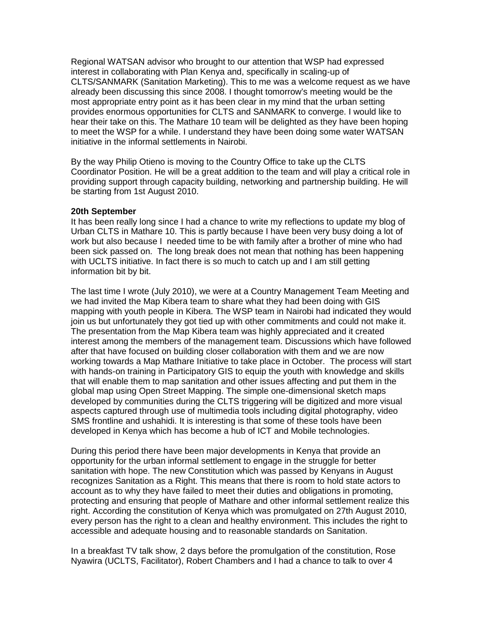Regional WATSAN advisor who brought to our attention that WSP had expressed interest in collaborating with Plan Kenya and, specifically in scaling-up of CLTS/SANMARK (Sanitation Marketing). This to me was a welcome request as we have already been discussing this since 2008. I thought tomorrow's meeting would be the most appropriate entry point as it has been clear in my mind that the urban setting provides enormous opportunities for CLTS and SANMARK to converge. I would like to hear their take on this. The Mathare 10 team will be delighted as they have been hoping to meet the WSP for a while. I understand they have been doing some water WATSAN initiative in the informal settlements in Nairobi.

By the way Philip Otieno is moving to the Country Office to take up the CLTS Coordinator Position. He will be a great addition to the team and will play a critical role in providing support through capacity building, networking and partnership building. He will be starting from 1st August 2010.

#### **20th September**

It has been really long since I had a chance to write my reflections to update my blog of Urban CLTS in Mathare 10. This is partly because I have been very busy doing a lot of work but also because I needed time to be with family after a brother of mine who had been sick passed on. The long break does not mean that nothing has been happening with UCLTS initiative. In fact there is so much to catch up and I am still getting information bit by bit.

The last time I wrote (July 2010), we were at a Country Management Team Meeting and we had invited the Map Kibera team to share what they had been doing with GIS mapping with youth people in Kibera. The WSP team in Nairobi had indicated they would join us but unfortunately they got tied up with other commitments and could not make it. The presentation from the Map Kibera team was highly appreciated and it created interest among the members of the management team. Discussions which have followed after that have focused on building closer collaboration with them and we are now working towards a Map Mathare Initiative to take place in October. The process will start with hands-on training in Participatory GIS to equip the youth with knowledge and skills that will enable them to map sanitation and other issues affecting and put them in the global map using Open Street Mapping. The simple one-dimensional sketch maps developed by communities during the CLTS triggering will be digitized and more visual aspects captured through use of multimedia tools including digital photography, video SMS frontline and ushahidi. It is interesting is that some of these tools have been developed in Kenya which has become a hub of ICT and Mobile technologies.

During this period there have been major developments in Kenya that provide an opportunity for the urban informal settlement to engage in the struggle for better sanitation with hope. The new Constitution which was passed by Kenyans in August recognizes Sanitation as a Right. This means that there is room to hold state actors to account as to why they have failed to meet their duties and obligations in promoting, protecting and ensuring that people of Mathare and other informal settlement realize this right. According the constitution of Kenya which was promulgated on 27th August 2010, every person has the right to a clean and healthy environment. This includes the right to accessible and adequate housing and to reasonable standards on Sanitation.

In a breakfast TV talk show, 2 days before the promulgation of the constitution, Rose Nyawira (UCLTS, Facilitator), Robert Chambers and I had a chance to talk to over 4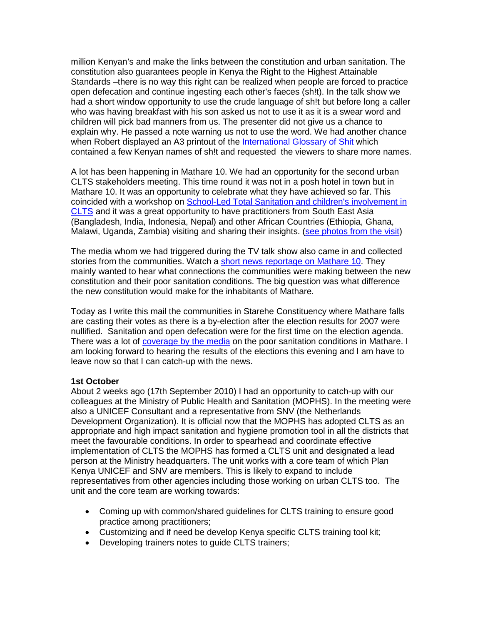million Kenyan's and make the links between the constitution and urban sanitation. The constitution also guarantees people in Kenya the Right to the Highest Attainable Standards –there is no way this right can be realized when people are forced to practice open defecation and continue ingesting each other's faeces (sh!t). In the talk show we had a short window opportunity to use the crude language of sh!t but before long a caller who was having breakfast with his son asked us not to use it as it is a swear word and children will pick bad manners from us. The presenter did not give us a chance to explain why. He passed a note warning us not to use the word. We had another chance when Robert displayed an A3 printout of the [International Glossary of Shit](http://www.communityledtotalsanitation.org/resource/international-glossary-shit) which contained a few Kenyan names of sh!t and requested the viewers to share more names.

A lot has been happening in Mathare 10. We had an opportunity for the second urban CLTS stakeholders meeting. This time round it was not in a posh hotel in town but in Mathare 10. It was an opportunity to celebrate what they have achieved so far. This coincided with a workshop on [School-Led Total Sanitation and children's involvement in](http://www.communityledtotalsanitation.org/resource/workshop-school-led-total-sanitation-slts-and-childrens-involvement-clts)  [CLTS](http://www.communityledtotalsanitation.org/resource/workshop-school-led-total-sanitation-slts-and-childrens-involvement-clts) and it was a great opportunity to have practitioners from South East Asia (Bangladesh, India, Indonesia, Nepal) and other African Countries (Ethiopia, Ghana, Malawi, Uganda, Zambia) visiting and sharing their insights. [\(see photos from the visit\)](http://www.flickr.com/photos/communityledtotalsanitation/sets/72157624672453151/)

The media whom we had triggered during the TV talk show also came in and collected stories from the communities. Watch a [short news reportage on Mathare 10.](http://www.youtube.com/watch?v=IPaV1TOcPWs) They mainly wanted to hear what connections the communities were making between the new constitution and their poor sanitation conditions. The big question was what difference the new constitution would make for the inhabitants of Mathare.

Today as I write this mail the communities in Starehe Constituency where Mathare falls are casting their votes as there is a by-election after the election results for 2007 were nullified. Sanitation and open defecation were for the first time on the election agenda. There was a lot of [coverage by the media](http://www.youtube.com/watch?v=IPaV1TOcPWs) on the poor sanitation conditions in Mathare. I am looking forward to hearing the results of the elections this evening and I am have to leave now so that I can catch-up with the news.

### **1st October**

About 2 weeks ago (17th September 2010) I had an opportunity to catch-up with our colleagues at the Ministry of Public Health and Sanitation (MOPHS). In the meeting were also a UNICEF Consultant and a representative from SNV (the Netherlands Development Organization). It is official now that the MOPHS has adopted CLTS as an appropriate and high impact sanitation and hygiene promotion tool in all the districts that meet the favourable conditions. In order to spearhead and coordinate effective implementation of CLTS the MOPHS has formed a CLTS unit and designated a lead person at the Ministry headquarters. The unit works with a core team of which Plan Kenya UNICEF and SNV are members. This is likely to expand to include representatives from other agencies including those working on urban CLTS too. The unit and the core team are working towards:

- Coming up with common/shared guidelines for CLTS training to ensure good practice among practitioners;
- Customizing and if need be develop Kenya specific CLTS training tool kit;
- Developing trainers notes to guide CLTS trainers;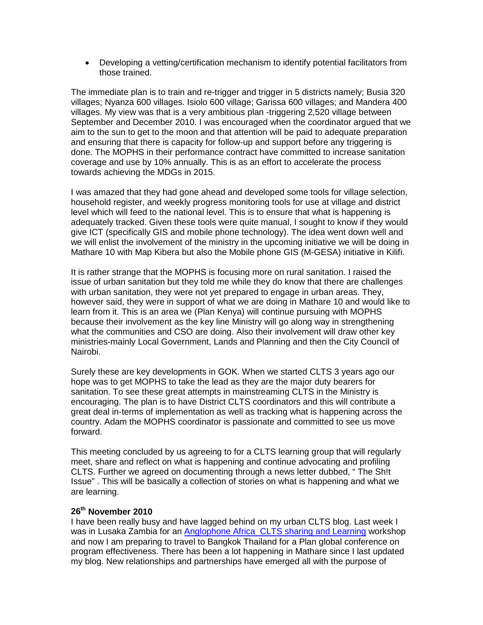• Developing a vetting/certification mechanism to identify potential facilitators from those trained.

The immediate plan is to train and re-trigger and trigger in 5 districts namely; Busia 320 villages; Nyanza 600 villages. Isiolo 600 village; Garissa 600 villages; and Mandera 400 villages. My view was that is a very ambitious plan -triggering 2,520 village between September and December 2010. I was encouraged when the coordinator argued that we aim to the sun to get to the moon and that attention will be paid to adequate preparation and ensuring that there is capacity for follow-up and support before any triggering is done. The MOPHS in their performance contract have committed to increase sanitation coverage and use by 10% annually. This is as an effort to accelerate the process towards achieving the MDGs in 2015.

I was amazed that they had gone ahead and developed some tools for village selection, household register, and weekly progress monitoring tools for use at village and district level which will feed to the national level. This is to ensure that what is happening is adequately tracked. Given these tools were quite manual, I sought to know if they would give ICT (specifically GIS and mobile phone technology). The idea went down well and we will enlist the involvement of the ministry in the upcoming initiative we will be doing in Mathare 10 with Map Kibera but also the Mobile phone GIS (M-GESA) initiative in Kilifi.

It is rather strange that the MOPHS is focusing more on rural sanitation. I raised the issue of urban sanitation but they told me while they do know that there are challenges with urban sanitation, they were not yet prepared to engage in urban areas. They, however said, they were in support of what we are doing in Mathare 10 and would like to learn from it. This is an area we (Plan Kenya) will continue pursuing with MOPHS because their involvement as the key line Ministry will go along way in strengthening what the communities and CSO are doing. Also their involvement will draw other key ministries-mainly Local Government, Lands and Planning and then the City Council of Nairobi.

Surely these are key developments in GOK. When we started CLTS 3 years ago our hope was to get MOPHS to take the lead as they are the major duty bearers for sanitation. To see these great attempts in mainstreaming CLTS in the Ministry is encouraging. The plan is to have District CLTS coordinators and this will contribute a great deal in-terms of implementation as well as tracking what is happening across the country. Adam the MOPHS coordinator is passionate and committed to see us move forward.

This meeting concluded by us agreeing to for a CLTS learning group that will regularly meet, share and reflect on what is happening and continue advocating and profiling CLTS. Further we agreed on documenting through a news letter dubbed, " The Sh!t Issue" . This will be basically a collection of stories on what is happening and what we are learning.

## **26th November 2010**

I have been really busy and have lagged behind on my urban CLTS blog. Last week I was in Lusaka Zambia for an [Anglophone Africa CLTS sharing and Learning](http://www.communityledtotalsanitation.org/resource/africa-regional-clts-sharing-and-learning-workshop-zambia) workshop and now I am preparing to travel to Bangkok Thailand for a Plan global conference on program effectiveness. There has been a lot happening in Mathare since I last updated my blog. New relationships and partnerships have emerged all with the purpose of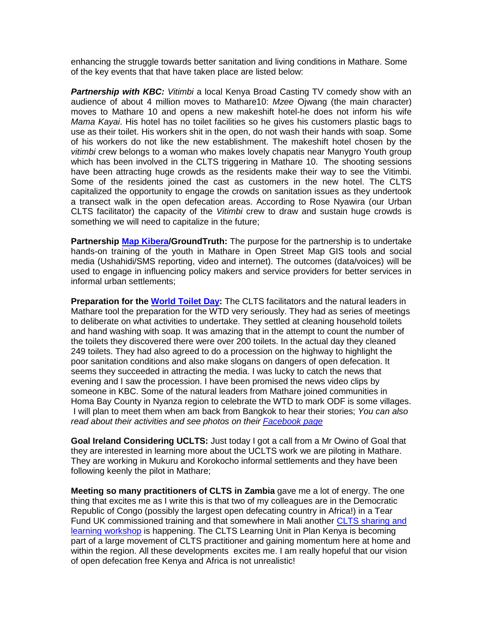enhancing the struggle towards better sanitation and living conditions in Mathare. Some of the key events that that have taken place are listed below:

**Partnership with KBC:** Vitimbi a local Kenya Broad Casting TV comedy show with an audience of about 4 million moves to Mathare10: *Mzee* Ojwang (the main character) moves to Mathare 10 and opens a new makeshift hotel-he does not inform his wife *Mama Kayai*. His hotel has no toilet facilities so he gives his customers plastic bags to use as their toilet. His workers shit in the open, do not wash their hands with soap. Some of his workers do not like the new establishment. The makeshift hotel chosen by the *vitimbi* crew belongs to a woman who makes lovely chapatis near Manygro Youth group which has been involved in the CLTS triggering in Mathare 10. The shooting sessions have been attracting huge crowds as the residents make their way to see the Vitimbi. Some of the residents joined the cast as customers in the new hotel. The CLTS capitalized the opportunity to engage the crowds on sanitation issues as they undertook a transect walk in the open defecation areas. According to Rose Nyawira (our Urban CLTS facilitator) the capacity of the *Vitimbi* crew to draw and sustain huge crowds is something we will need to capitalize in the future;

**Partnership [Map Kibera/](http://mapkibera.org/)GroundTruth:** The purpose for the partnership is to undertake hands-on training of the youth in Mathare in Open Street Map GIS tools and social media (Ushahidi/SMS reporting, video and internet). The outcomes (data/voices) will be used to engage in influencing policy makers and service providers for better services in informal urban settlements;

**Preparation for the [World Toilet Day:](http://www.communityledtotalsanitation.org/story/world-toilet-day-2010-how-will-you-mark-day)** The CLTS facilitators and the natural leaders in Mathare tool the preparation for the WTD very seriously. They had as series of meetings to deliberate on what activities to undertake. They settled at cleaning household toilets and hand washing with soap. It was amazing that in the attempt to count the number of the toilets they discovered there were over 200 toilets. In the actual day they cleaned 249 toilets. They had also agreed to do a procession on the highway to highlight the poor sanitation conditions and also make slogans on dangers of open defecation. It seems they succeeded in attracting the media. I was lucky to catch the news that evening and I saw the procession. I have been promised the news video clips by someone in KBC. Some of the natural leaders from Mathare joined communities in Homa Bay County in Nyanza region to celebrate the WTD to mark ODF is some villages. I will plan to meet them when am back from Bangkok to hear their stories; *You can also read about their activities and see photos on their [Facebook page](http://www.facebook.com/#!/pages/Nairobi-Kenya/Urban-Community-Led-Total-Sanitation/153511268025512)*

**Goal Ireland Considering UCLTS:** Just today I got a call from a Mr Owino of Goal that they are interested in learning more about the UCLTS work we are piloting in Mathare. They are working in Mukuru and Korokocho informal settlements and they have been following keenly the pilot in Mathare;

**Meeting so many practitioners of CLTS in Zambia** gave me a lot of energy. The one thing that excites me as I write this is that two of my colleagues are in the Democratic Republic of Congo (possibly the largest open defecating country in Africa!) in a Tear Fund UK commissioned training and that somewhere in Mali another [CLTS sharing and](http://www.communityledtotalsanitation.org/resource/africa-regional-clts-sharing-and-learning-workshop-mali)  [learning workshop](http://www.communityledtotalsanitation.org/resource/africa-regional-clts-sharing-and-learning-workshop-mali) is happening. The CLTS Learning Unit in Plan Kenya is becoming part of a large movement of CLTS practitioner and gaining momentum here at home and within the region. All these developments excites me. I am really hopeful that our vision of open defecation free Kenya and Africa is not unrealistic!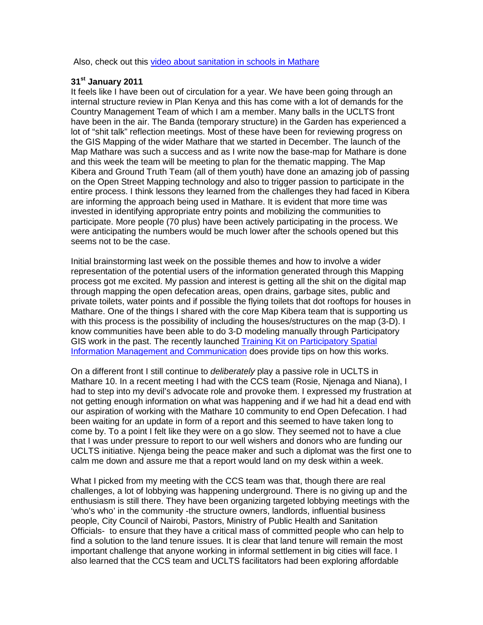Also, check out this [video about sanitation in schools in Mathare](http://www.youtube.com/watch?v=pnULdYkuUbI&NR=1)

## **31st January 2011**

It feels like I have been out of circulation for a year. We have been going through an internal structure review in Plan Kenya and this has come with a lot of demands for the Country Management Team of which I am a member. Many balls in the UCLTS front have been in the air. The Banda (temporary structure) in the Garden has experienced a lot of "shit talk" reflection meetings. Most of these have been for reviewing progress on the GIS Mapping of the wider Mathare that we started in December. The launch of the Map Mathare was such a success and as I write now the base-map for Mathare is done and this week the team will be meeting to plan for the thematic mapping. The Map Kibera and Ground Truth Team (all of them youth) have done an amazing job of passing on the Open Street Mapping technology and also to trigger passion to participate in the entire process. I think lessons they learned from the challenges they had faced in Kibera are informing the approach being used in Mathare. It is evident that more time was invested in identifying appropriate entry points and mobilizing the communities to participate. More people (70 plus) have been actively participating in the process. We were anticipating the numbers would be much lower after the schools opened but this seems not to be the case.

Initial brainstorming last week on the possible themes and how to involve a wider representation of the potential users of the information generated through this Mapping process got me excited. My passion and interest is getting all the shit on the digital map through mapping the open defecation areas, open drains, garbage sites, public and private toilets, water points and if possible the flying toilets that dot rooftops for houses in Mathare. One of the things I shared with the core Map Kibera team that is supporting us with this process is the possibility of including the houses/structures on the map (3-D). I know communities have been able to do 3-D modeling manually through Participatory GIS work in the past. The recently launched Training Kit on Participatory Spatial [Information Management and Communication](http://www.pgis.cta.int/) does provide tips on how this works.

On a different front I still continue to *deliberately* play a passive role in UCLTS in Mathare 10. In a recent meeting I had with the CCS team (Rosie, Njenaga and Niana), I had to step into my devil's advocate role and provoke them. I expressed my frustration at not getting enough information on what was happening and if we had hit a dead end with our aspiration of working with the Mathare 10 community to end Open Defecation. I had been waiting for an update in form of a report and this seemed to have taken long to come by. To a point I felt like they were on a go slow. They seemed not to have a clue that I was under pressure to report to our well wishers and donors who are funding our UCLTS initiative. Njenga being the peace maker and such a diplomat was the first one to calm me down and assure me that a report would land on my desk within a week.

What I picked from my meeting with the CCS team was that, though there are real challenges, a lot of lobbying was happening underground. There is no giving up and the enthusiasm is still there. They have been organizing targeted lobbying meetings with the 'who's who' in the community -the structure owners, landlords, influential business people, City Council of Nairobi, Pastors, Ministry of Public Health and Sanitation Officials- to ensure that they have a critical mass of committed people who can help to find a solution to the land tenure issues. It is clear that land tenure will remain the most important challenge that anyone working in informal settlement in big cities will face. I also learned that the CCS team and UCLTS facilitators had been exploring affordable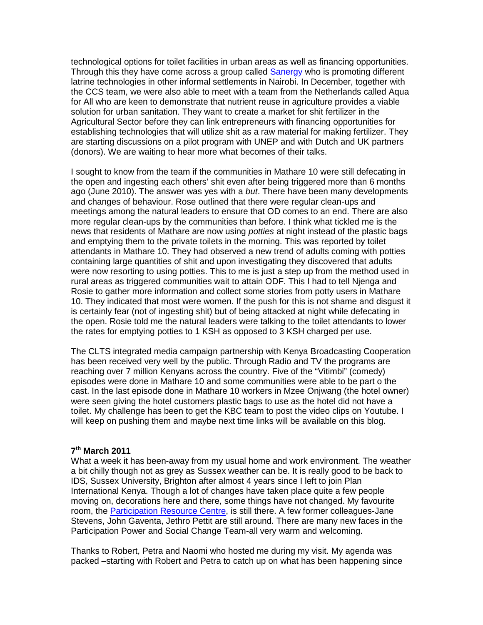technological options for toilet facilities in urban areas as well as financing opportunities. Through this they have come across a group called [Sanergy](http://saner.gy/) who is promoting different latrine technologies in other informal settlements in Nairobi. In December, together with the CCS team, we were also able to meet with a team from the Netherlands called Aqua for All who are keen to demonstrate that nutrient reuse in agriculture provides a viable solution for urban sanitation. They want to create a market for shit fertilizer in the Agricultural Sector before they can link entrepreneurs with financing opportunities for establishing technologies that will utilize shit as a raw material for making fertilizer. They are starting discussions on a pilot program with UNEP and with Dutch and UK partners (donors). We are waiting to hear more what becomes of their talks.

I sought to know from the team if the communities in Mathare 10 were still defecating in the open and ingesting each others' shit even after being triggered more than 6 months ago (June 2010). The answer was yes with a *but*. There have been many developments and changes of behaviour. Rose outlined that there were regular clean-ups and meetings among the natural leaders to ensure that OD comes to an end. There are also more regular clean-ups by the communities than before. I think what tickled me is the news that residents of Mathare are now using *potties* at night instead of the plastic bags and emptying them to the private toilets in the morning. This was reported by toilet attendants in Mathare 10. They had observed a new trend of adults coming with potties containing large quantities of shit and upon investigating they discovered that adults were now resorting to using potties. This to me is just a step up from the method used in rural areas as triggered communities wait to attain ODF. This I had to tell Njenga and Rosie to gather more information and collect some stories from potty users in Mathare 10. They indicated that most were women. If the push for this is not shame and disgust it is certainly fear (not of ingesting shit) but of being attacked at night while defecating in the open. Rosie told me the natural leaders were talking to the toilet attendants to lower the rates for emptying potties to 1 KSH as opposed to 3 KSH charged per use.

The CLTS integrated media campaign partnership with Kenya Broadcasting Cooperation has been received very well by the public. Through Radio and TV the programs are reaching over 7 million Kenyans across the country. Five of the "Vitimbi" (comedy) episodes were done in Mathare 10 and some communities were able to be part o the cast. In the last episode done in Mathare 10 workers in Mzee Onjwang (the hotel owner) were seen giving the hotel customers plastic bags to use as the hotel did not have a toilet. My challenge has been to get the KBC team to post the video clips on Youtube. I will keep on pushing them and maybe next time links will be available on this blog.

## **7th March 2011**

What a week it has been-away from my usual home and work environment. The weather a bit chilly though not as grey as Sussex weather can be. It is really good to be back to IDS, Sussex University, Brighton after almost 4 years since I left to join Plan International Kenya. Though a lot of changes have taken place quite a few people moving on, decorations here and there, some things have not changed. My favourite room, the [Participation Resource Centre,](http://www.pnet.ids.ac.uk/prc/index.htm) is still there. A few former colleagues-Jane Stevens, John Gaventa, Jethro Pettit are still around. There are many new faces in the Participation Power and Social Change Team-all very warm and welcoming.

Thanks to Robert, Petra and Naomi who hosted me during my visit. My agenda was packed –starting with Robert and Petra to catch up on what has been happening since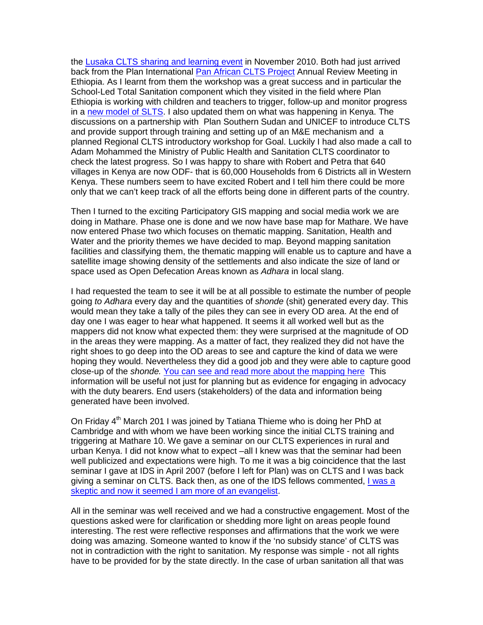the [Lusaka CLTS sharing and learning event](http://www.communityledtotalsanitation.org/resource/africa-regional-clts-sharing-and-learning-workshop-zambia) in November 2010. Both had just arrived back from the Plan International [Pan African CLTS Project](http://www.communityledtotalsanitation.org/page/empowering-self-help-sanitation-rural-and-peri-urban-communities-and-schools-africa) Annual Review Meeting in Ethiopia. As I learnt from them the workshop was a great success and in particular the School-Led Total Sanitation component which they visited in the field where Plan Ethiopia is working with children and teachers to trigger, follow-up and monitor progress in a [new model of SLTS.](http://www.communityledtotalsanitation.org/resource/school-led-total-sanitation-reflections-potential-shebedino-pilot) I also updated them on what was happening in Kenya. The discussions on a partnership with Plan Southern Sudan and UNICEF to introduce CLTS and provide support through training and setting up of an M&E mechanism and a planned Regional CLTS introductory workshop for Goal. Luckily I had also made a call to Adam Mohammed the Ministry of Public Health and Sanitation CLTS coordinator to check the latest progress. So I was happy to share with Robert and Petra that 640 villages in Kenya are now ODF- that is 60,000 Households from 6 Districts all in Western Kenya. These numbers seem to have excited Robert and I tell him there could be more only that we can't keep track of all the efforts being done in different parts of the country.

Then I turned to the exciting Participatory GIS mapping and social media work we are doing in Mathare. Phase one is done and we now have base map for Mathare. We have now entered Phase two which focuses on thematic mapping. Sanitation, Health and Water and the priority themes we have decided to map. Beyond mapping sanitation facilities and classifying them, the thematic mapping will enable us to capture and have a satellite image showing density of the settlements and also indicate the size of land or space used as Open Defecation Areas known as *Adhara* in local slang.

I had requested the team to see it will be at all possible to estimate the number of people going *to Adhara* every day and the quantities of *shonde* (shit) generated every day. This would mean they take a tally of the piles they can see in every OD area. At the end of day one I was eager to hear what happened. It seems it all worked well but as the mappers did not know what expected them: they were surprised at the magnitude of OD in the areas they were mapping. As a matter of fact, they realized they did not have the right shoes to go deep into the OD areas to see and capture the kind of data we were hoping they would. Nevertheless they did a good job and they were able to capture good close-up of the *shonde.* [You can see and read more about the mapping here](http://mappingnobigdeal.wordpress.com/2011/03/03/how-to-map-open-defecation-areas) This information will be useful not just for planning but as evidence for engaging in advocacy with the duty bearers. End users (stakeholders) of the data and information being generated have been involved.

On Friday  $4<sup>th</sup>$  March 201 I was joined by Tatiana Thieme who is doing her PhD at Cambridge and with whom we have been working since the initial CLTS training and triggering at Mathare 10. We gave a seminar on our CLTS experiences in rural and urban Kenya. I did not know what to expect –all I knew was that the seminar had been well publicized and expectations were high. To me it was a big coincidence that the last seminar I gave at IDS in April 2007 (before I left for Plan) was on CLTS and I was back giving a seminar on CLTS. Back then, as one of the IDS fellows commented, [I was a](http://www.communityledtotalsanitation.org/resource/sceptics-and-evangelists-insights-scaling-community-led-total-sanitation-clts-southern-and-)  [skeptic and now it seemed I am more of an evangelist.](http://www.communityledtotalsanitation.org/resource/sceptics-and-evangelists-insights-scaling-community-led-total-sanitation-clts-southern-and-)

All in the seminar was well received and we had a constructive engagement. Most of the questions asked were for clarification or shedding more light on areas people found interesting. The rest were reflective responses and affirmations that the work we were doing was amazing. Someone wanted to know if the 'no subsidy stance' of CLTS was not in contradiction with the right to sanitation. My response was simple - not all rights have to be provided for by the state directly. In the case of urban sanitation all that was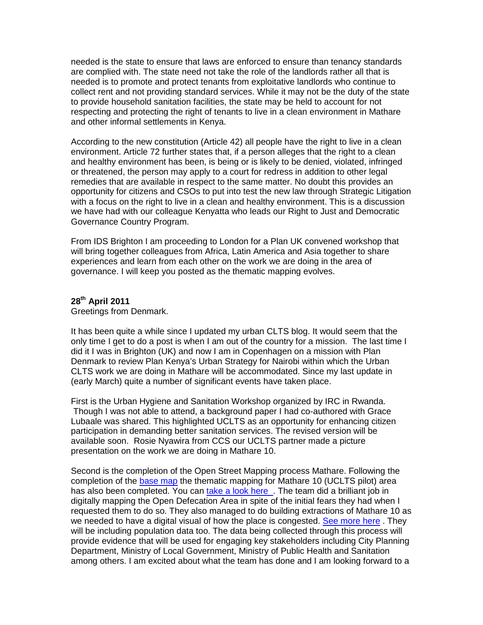needed is the state to ensure that laws are enforced to ensure than tenancy standards are complied with. The state need not take the role of the landlords rather all that is needed is to promote and protect tenants from exploitative landlords who continue to collect rent and not providing standard services. While it may not be the duty of the state to provide household sanitation facilities, the state may be held to account for not respecting and protecting the right of tenants to live in a clean environment in Mathare and other informal settlements in Kenya.

According to the new constitution (Article 42) all people have the right to live in a clean environment. Article 72 further states that, if a person alleges that the right to a clean and healthy environment has been, is being or is likely to be denied, violated, infringed or threatened, the person may apply to a court for redress in addition to other legal remedies that are available in respect to the same matter. No doubt this provides an opportunity for citizens and CSOs to put into test the new law through Strategic Litigation with a focus on the right to live in a clean and healthy environment. This is a discussion we have had with our colleague Kenyatta who leads our Right to Just and Democratic Governance Country Program.

From IDS Brighton I am proceeding to London for a Plan UK convened workshop that will bring together colleagues from Africa, Latin America and Asia together to share experiences and learn from each other on the work we are doing in the area of governance. I will keep you posted as the thematic mapping evolves.

## **28th April 2011**

Greetings from Denmark.

It has been quite a while since I updated my urban CLTS blog. It would seem that the only time I get to do a post is when I am out of the country for a mission. The last time I did it I was in Brighton (UK) and now I am in Copenhagen on a mission with Plan Denmark to review Plan Kenya's Urban Strategy for Nairobi within which the Urban CLTS work we are doing in Mathare will be accommodated. Since my last update in (early March) quite a number of significant events have taken place.

First is the Urban Hygiene and Sanitation Workshop organized by IRC in Rwanda. Though I was not able to attend, a background paper I had co-authored with Grace Lubaale was shared. This highlighted UCLTS as an opportunity for enhancing citizen participation in demanding better sanitation services. The revised version will be available soon. Rosie Nyawira from CCS our UCLTS partner made a picture presentation on the work we are doing in Mathare 10.

Second is the completion of the Open Street Mapping process Mathare. Following the completion of the [base map](http://www.mapkibera.org/blog/2011/02/14/base-map-of-mathare-is-complete/) the thematic mapping for Mathare 10 (UCLTS pilot) area has also been completed. You can [take a look here .](http://mappingnobigdeal.wordpress.com/category/map-mathare/) The team did a brilliant job in digitally mapping the Open Defecation Area in spite of the initial fears they had when I requested them to do so. They also managed to do building extractions of Mathare 10 as we needed to have a digital visual of how the place is congested. [See more here](http://mappingnobigdeal.wordpress.com/2011/03/26/building-extraction-of-mathare-no10-mashimoni-mabatini-and-thayu/). They will be including population data too. The data being collected through this process will provide evidence that will be used for engaging key stakeholders including City Planning Department, Ministry of Local Government, Ministry of Public Health and Sanitation among others. I am excited about what the team has done and I am looking forward to a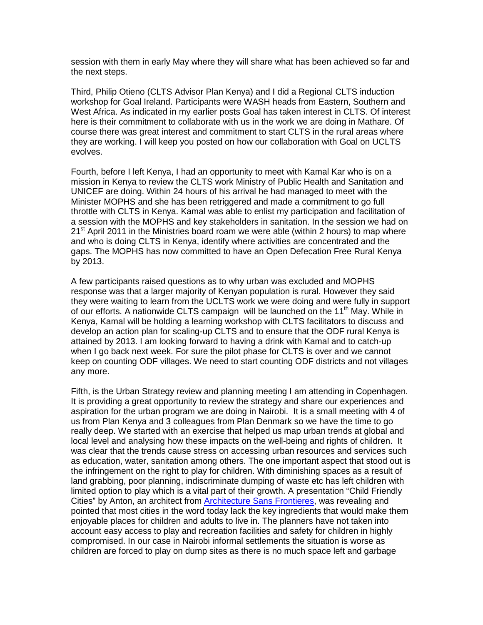session with them in early May where they will share what has been achieved so far and the next steps.

Third, Philip Otieno (CLTS Advisor Plan Kenya) and I did a Regional CLTS induction workshop for Goal Ireland. Participants were WASH heads from Eastern, Southern and West Africa. As indicated in my earlier posts Goal has taken interest in CLTS. Of interest here is their commitment to collaborate with us in the work we are doing in Mathare. Of course there was great interest and commitment to start CLTS in the rural areas where they are working. I will keep you posted on how our collaboration with Goal on UCLTS evolves.

Fourth, before I left Kenya, I had an opportunity to meet with Kamal Kar who is on a mission in Kenya to review the CLTS work Ministry of Public Health and Sanitation and UNICEF are doing. Within 24 hours of his arrival he had managed to meet with the Minister MOPHS and she has been retriggered and made a commitment to go full throttle with CLTS in Kenya. Kamal was able to enlist my participation and facilitation of a session with the MOPHS and key stakeholders in sanitation. In the session we had on  $21<sup>st</sup>$  April 2011 in the Ministries board roam we were able (within 2 hours) to map where and who is doing CLTS in Kenya, identify where activities are concentrated and the gaps. The MOPHS has now committed to have an Open Defecation Free Rural Kenya by 2013.

A few participants raised questions as to why urban was excluded and MOPHS response was that a larger majority of Kenyan population is rural. However they said they were waiting to learn from the UCLTS work we were doing and were fully in support of our efforts. A nationwide CLTS campaign will be launched on the 11<sup>th</sup> May. While in Kenya, Kamal will be holding a learning workshop with CLTS facilitators to discuss and develop an action plan for scaling-up CLTS and to ensure that the ODF rural Kenya is attained by 2013. I am looking forward to having a drink with Kamal and to catch-up when I go back next week. For sure the pilot phase for CLTS is over and we cannot keep on counting ODF villages. We need to start counting ODF districts and not villages any more.

Fifth, is the Urban Strategy review and planning meeting I am attending in Copenhagen. It is providing a great opportunity to review the strategy and share our experiences and aspiration for the urban program we are doing in Nairobi. It is a small meeting with 4 of us from Plan Kenya and 3 colleagues from Plan Denmark so we have the time to go really deep. We started with an exercise that helped us map urban trends at global and local level and analysing how these impacts on the well-being and rights of children. It was clear that the trends cause stress on accessing urban resources and services such as education, water, sanitation among others. The one important aspect that stood out is the infringement on the right to play for children. With diminishing spaces as a result of land grabbing, poor planning, indiscriminate dumping of waste etc has left children with limited option to play which is a vital part of their growth. A presentation "Child Friendly Cities" by Anton, an architect from [Architecture Sans Frontieres,](http://www.asfint.org/) was revealing and pointed that most cities in the word today lack the key ingredients that would make them enjoyable places for children and adults to live in. The planners have not taken into account easy access to play and recreation facilities and safety for children in highly compromised. In our case in Nairobi informal settlements the situation is worse as children are forced to play on dump sites as there is no much space left and garbage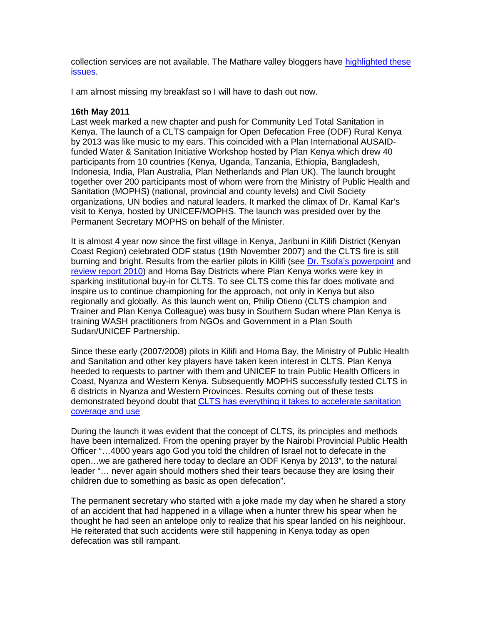collection services are not available. The Mathare valley bloggers have [highlighted these](http://matharevalley.wordpress.com/category/environment/)  [issues.](http://matharevalley.wordpress.com/category/environment/)

I am almost missing my breakfast so I will have to dash out now.

### **16th May 2011**

Last week marked a new chapter and push for Community Led Total Sanitation in Kenya. The launch of a CLTS campaign for Open Defecation Free (ODF) Rural Kenya by 2013 was like music to my ears. This coincided with a Plan International AUSAIDfunded Water & Sanitation Initiative Workshop hosted by Plan Kenya which drew 40 participants from 10 countries (Kenya, Uganda, Tanzania, Ethiopia, Bangladesh, Indonesia, India, Plan Australia, Plan Netherlands and Plan UK). The launch brought together over 200 participants most of whom were from the Ministry of Public Health and Sanitation (MOPHS) (national, provincial and county levels) and Civil Society organizations, UN bodies and natural leaders. It marked the climax of Dr. Kamal Kar's visit to Kenya, hosted by UNICEF/MOPHS. The launch was presided over by the Permanent Secretary MOPHS on behalf of the Minister.

It is almost 4 year now since the first village in Kenya, Jaribuni in Kilifi District (Kenyan Coast Region) celebrated ODF status (19th November 2007) and the CLTS fire is still burning and bright. Results from the earlier pilots in Kilifi (see [Dr. Tsofa's powerpoint](http://www.communityledtotalsanitation.org/sites/communityledtotalsanitation.org/files/KILIFI_CLTS_REVIEW_MTNG_TSOFA.ppt) and [review report 2010\)](http://www.communityledtotalsanitation.org/sites/communityledtotalsanitation.org/files/CLTS_REVIEW_WORKSHOP_brief_update.doc) and Homa Bay Districts where Plan Kenya works were key in sparking institutional buy-in for CLTS. To see CLTS come this far does motivate and inspire us to continue championing for the approach, not only in Kenya but also regionally and globally. As this launch went on, Philip Otieno (CLTS champion and Trainer and Plan Kenya Colleague) was busy in Southern Sudan where Plan Kenya is training WASH practitioners from NGOs and Government in a Plan South Sudan/UNICEF Partnership.

Since these early (2007/2008) pilots in Kilifi and Homa Bay, the Ministry of Public Health and Sanitation and other key players have taken keen interest in CLTS. Plan Kenya heeded to requests to partner with them and UNICEF to train Public Health Officers in Coast, Nyanza and Western Kenya. Subsequently MOPHS successfully tested CLTS in 6 districts in Nyanza and Western Provinces. Results coming out of these tests demonstrated beyond doubt that [CLTS has everything it takes to accelerate sanitation](http://www.communityledtotalsanitation.org/sites/communityledtotalsanitation.org/files/CLTS_GOK_Garissa.ppt)  [coverage and use](http://www.communityledtotalsanitation.org/sites/communityledtotalsanitation.org/files/CLTS_GOK_Garissa.ppt)

During the launch it was evident that the concept of CLTS, its principles and methods have been internalized. From the opening prayer by the Nairobi Provincial Public Health Officer "…4000 years ago God you told the children of Israel not to defecate in the open…we are gathered here today to declare an ODF Kenya by 2013", to the natural leader "… never again should mothers shed their tears because they are losing their children due to something as basic as open defecation".

The permanent secretary who started with a joke made my day when he shared a story of an accident that had happened in a village when a hunter threw his spear when he thought he had seen an antelope only to realize that his spear landed on his neighbour. He reiterated that such accidents were still happening in Kenya today as open defecation was still rampant.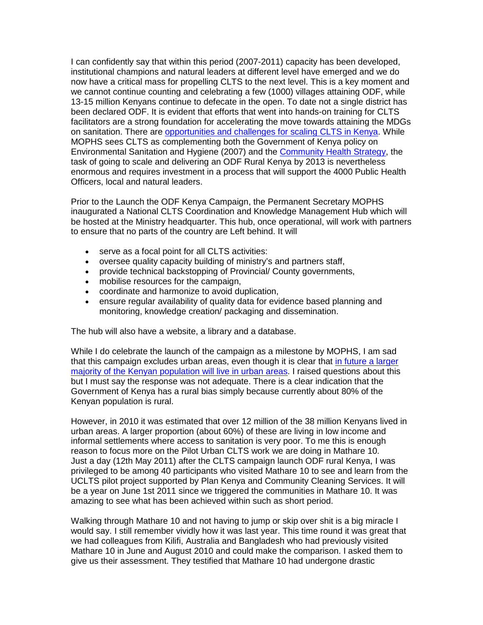I can confidently say that within this period (2007-2011) capacity has been developed, institutional champions and natural leaders at different level have emerged and we do now have a critical mass for propelling CLTS to the next level. This is a key moment and we cannot continue counting and celebrating a few (1000) villages attaining ODF, while 13-15 million Kenyans continue to defecate in the open. To date not a single district has been declared ODF. It is evident that efforts that went into hands-on training for CLTS facilitators are a strong foundation for accelerating the move towards attaining the MDGs on sanitation. There are [opportunities and challenges for scaling CLTS in Kenya.](http://www.communityledtotalsanitation.org/sites/communityledtotalsanitation.org/files/Scaling_up_Kenya_0.pdf) While MOPHS sees CLTS as complementing both the Government of Kenya policy on Environmental Sanitation and Hygiene (2007) and the [Community Health Strategy,](http://www.communityledtotalsanitation.org/sites/communityledtotalsanitation.org/files/community_strategy.pdf) the task of going to scale and delivering an ODF Rural Kenya by 2013 is nevertheless enormous and requires investment in a process that will support the 4000 Public Health Officers, local and natural leaders.

Prior to the Launch the ODF Kenya Campaign, the Permanent Secretary MOPHS inaugurated a National CLTS Coordination and Knowledge Management Hub which will be hosted at the Ministry headquarter. This hub, once operational, will work with partners to ensure that no parts of the country are Left behind. It will

- serve as a focal point for all CLTS activities:
- oversee quality capacity building of ministry's and partners staff,
- provide technical backstopping of Provincial/ County governments,
- mobilise resources for the campaign,
- coordinate and harmonize to avoid duplication,
- ensure regular availability of quality data for evidence based planning and monitoring, knowledge creation/ packaging and dissemination.

The hub will also have a website, a library and a database.

While I do celebrate the launch of the campaign as a milestone by MOPHS, I am sad that this campaign excludes urban areas, even though it is clear that [in future a larger](http://maps.grida.no/go/graphic/urban-population-trends-kenya-and-nairobi) [majority of the Kenyan population will live in urban areas.](http://maps.grida.no/go/graphic/urban-population-trends-kenya-and-nairobi) I raised questions about this but I must say the response was not adequate. There is a clear indication that the Government of Kenya has a rural bias simply because currently about 80% of the Kenyan population is rural.

However, in 2010 it was estimated that over 12 million of the 38 million Kenyans lived in urban areas. A larger proportion (about 60%) of these are living in low income and informal settlements where access to sanitation is very poor. To me this is enough reason to focus more on the Pilot Urban CLTS work we are doing in Mathare 10. Just a day (12th May 2011) after the CLTS campaign launch ODF rural Kenya, I was privileged to be among 40 participants who visited Mathare 10 to see and learn from the UCLTS pilot project supported by Plan Kenya and Community Cleaning Services. It will be a year on June 1st 2011 since we triggered the communities in Mathare 10. It was amazing to see what has been achieved within such as short period.

Walking through Mathare 10 and not having to jump or skip over shit is a big miracle I would say. I still remember vividly how it was last year. This time round it was great that we had colleagues from Kilifi, Australia and Bangladesh who had previously visited Mathare 10 in June and August 2010 and could make the comparison. I asked them to give us their assessment. They testified that Mathare 10 had undergone drastic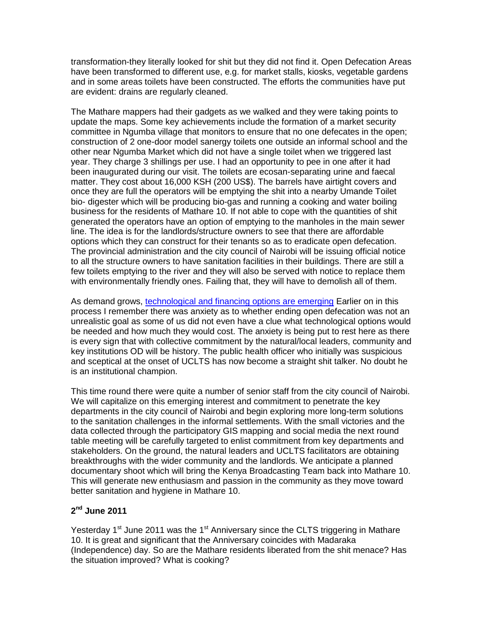transformation-they literally looked for shit but they did not find it. Open Defecation Areas have been transformed to different use, e.g. for market stalls, kiosks, vegetable gardens and in some areas toilets have been constructed. The efforts the communities have put are evident: drains are regularly cleaned.

The Mathare mappers had their gadgets as we walked and they were taking points to update the maps. Some key achievements include the formation of a market security committee in Ngumba village that monitors to ensure that no one defecates in the open; construction of 2 one-door model sanergy toilets one outside an informal school and the other near Ngumba Market which did not have a single toilet when we triggered last year. They charge 3 shillings per use. I had an opportunity to pee in one after it had been inaugurated during our visit. The toilets are ecosan-separating urine and faecal matter. They cost about 16,000 KSH (200 US\$). The barrels have airtight covers and once they are full the operators will be emptying the shit into a nearby Umande Toilet bio- digester which will be producing bio-gas and running a cooking and water boiling business for the residents of Mathare 10. If not able to cope with the quantities of shit generated the operators have an option of emptying to the manholes in the main sewer line. The idea is for the landlords/structure owners to see that there are affordable options which they can construct for their tenants so as to eradicate open defecation. The provincial administration and the city council of Nairobi will be issuing official notice to all the structure owners to have sanitation facilities in their buildings. There are still a few toilets emptying to the river and they will also be served with notice to replace them with environmentally friendly ones. Failing that, they will have to demolish all of them.

As demand grows, [technological and financing options are emerging](http://saner.gy/) Earlier on in this process I remember there was anxiety as to whether ending open defecation was not an unrealistic goal as some of us did not even have a clue what technological options would be needed and how much they would cost. The anxiety is being put to rest here as there is every sign that with collective commitment by the natural/local leaders, community and key institutions OD will be history. The public health officer who initially was suspicious and sceptical at the onset of UCLTS has now become a straight shit talker. No doubt he is an institutional champion.

This time round there were quite a number of senior staff from the city council of Nairobi. We will capitalize on this emerging interest and commitment to penetrate the key departments in the city council of Nairobi and begin exploring more long-term solutions to the sanitation challenges in the informal settlements. With the small victories and the data collected through the participatory GIS mapping and social media the next round table meeting will be carefully targeted to enlist commitment from key departments and stakeholders. On the ground, the natural leaders and UCLTS facilitators are obtaining breakthroughs with the wider community and the landlords. We anticipate a planned documentary shoot which will bring the Kenya Broadcasting Team back into Mathare 10. This will generate new enthusiasm and passion in the community as they move toward better sanitation and hygiene in Mathare 10.

# **2nd June 2011**

Yesterday  $1<sup>st</sup>$  June 2011 was the  $1<sup>st</sup>$  Anniversary since the CLTS triggering in Mathare 10. It is great and significant that the Anniversary coincides with Madaraka (Independence) day. So are the Mathare residents liberated from the shit menace? Has the situation improved? What is cooking?